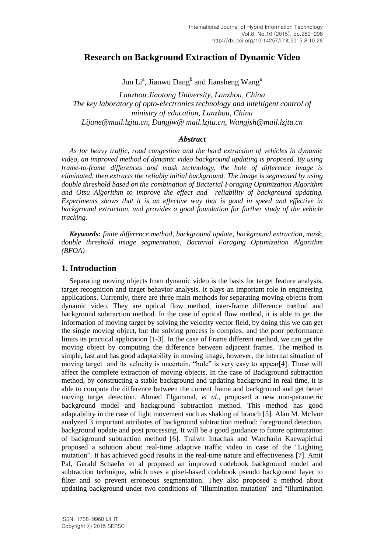# **Research on Background Extraction of Dynamic Video**

Jun Li<sup>a</sup>, Jianwu Dang<sup>b</sup> and Jiansheng Wang<sup>a</sup>

*Lanzhou Jiaotong University, Lanzhou, China The key laboratory of opto-electronics technology and intelligent control of ministry of education, Lanzhou, China Lijane@mail.lzjtu.cn, Dangjw@ mail.lzjtu.cn, Wangjsh@mail.lzjtu.cn*

#### *Abstract*

*As for heavy traffic, road congestion and the hard extraction of vehicles in dynamic video, an improved method of dynamic video background updating is proposed. By using frame-to-frame differences and mask technology, the hole of difference image is eliminated, then extracts the reliably initial background. The image is segmented by using double threshold based on the combination of Bacterial Foraging Optimization Algorithm and Otsu Algorithm to improve the effect and reliability of background updating. Experiments shows that it is an effective way that is good in speed and effective in background extraction, and provides a good foundation for further study of the vehicle tracking.*

*Keywords: finite difference method, background update, background extraction, mask, double threshold image segmentation, Bacterial Foraging Optimization Algorithm (BFOA)*

### **1. Introduction**

Separating moving objects from dynamic video is the basis for target feature analysis, target recognition and target behavior analysis. It plays an important role in engineering applications. Currently, there are three main methods for separating moving objects from dynamic video. They are optical flow method, inter-frame difference method and background subtraction method. In the case of optical flow method, it is able to get the information of moving target by solving the velocity vector field, by doing this we can get the single moving object, but the solving process is complex, and the poor performance limits its practical application [1-3]. In the case of Frame different method, we can get the moving object by computing the difference between adjacent frames. The method is simple, fast and has good adaptability in moving image, however, the internal situation of moving target and its velocity is uncertain, "hole" is very easy to appear[4]. Those will affect the complete extraction of moving objects. In the case of Background subtraction method, by constructing a stable background and updating background in real time, it is able to compute the difference between the current frame and background and get better moving target detection. Ahmed Elgammal, *et al.,* proposed a new non-parametric background model and background subtraction method. This method has good adaptability in the case of light movement such as shaking of branch [5]. Alan M. McIvor analyzed 3 important attributes of background subtraction method: foreground detection, background update and post processing. It will be a good guidance to future optimization of background subtraction method [6]. Traiwit Intachak and Watcharin Kaewapichai proposed a solution about real-time adaptive traffic video in case of the "Lighting mutation". It has achieved good results in the real-time nature and effectiveness [7]. Amit Pal, Gerald Schaefer et al proposed an improved codebook background model and subtraction technique, which uses a pixel-based codebook pseudo background layer to filter and so prevent erroneous segmentation. They also proposed a method about updating background under two conditions of "Illumination mutation" and "illumination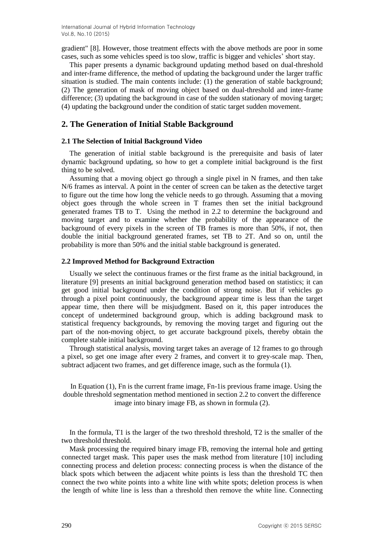gradient" [8]. However, those treatment effects with the above methods are poor in some cases, such as some vehicles speed is too slow, traffic is bigger and vehicles' short stay.

This paper presents a dynamic background updating method based on dual-threshold and inter-frame difference, the method of updating the background under the larger traffic situation is studied. The main contents include: (1) the generation of stable background; (2) The generation of mask of moving object based on dual-threshold and inter-frame difference; (3) updating the background in case of the sudden stationary of moving target; (4) updating the background under the condition of static target sudden movement.

# **2. The Generation of Initial Stable Background**

#### **2.1 The Selection of Initial Background Video**

The generation of initial stable background is the prerequisite and basis of later dynamic background updating, so how to get a complete initial background is the first thing to be solved.

Assuming that a moving object go through a single pixel in N frames, and then take N/6 frames as interval. A point in the center of screen can be taken as the detective target to figure out the time how long the vehicle needs to go through. Assuming that a moving object goes through the whole screen in T frames then set the initial background generated frames TB to T. Using the method in 2.2 to determine the background and moving target and to examine whether the probability of the appearance of the background of every pixels in the screen of TB frames is more than 50%, if not, then double the initial background generated frames, set TB to 2T. And so on, until the probability is more than 50% and the initial stable background is generated.

### **2.2 Improved Method for Background Extraction**

Usually we select the continuous frames or the first frame as the initial background, in literature [9] presents an initial background generation method based on statistics; it can get good initial background under the condition of strong noise. But if vehicles go through a pixel point continuously, the background appear time is less than the target appear time, then there will be misjudgment. Based on it, this paper introduces the concept of undetermined background group, which is adding background mask to statistical frequency backgrounds, by removing the moving target and figuring out the part of the non-moving object, to get accurate background pixels, thereby obtain the complete stable initial background. n the screen of TB frames is more than 50%, if not, then<br>generated frames, set TB to 2T. And so on, until the<br>generated frames, set TB to 2T. And so on, until the<br>dot the initial stable background is generated.<br><br>**ckground** 

Through statistical analysis, moving target takes an average of 12 frames to go through a pixel, so get one image after every 2 frames, and convert it to grey-scale map. Then, subtract adjacent two frames, and get difference image, such as the formula (1).

In Equation (1), Fn is the current frame image, Fn-1is previous frame image. Using the double threshold segmentation method mentioned in section 2.2 to convert the difference image into binary image FB, as shown in formula (2).

In the formula, T1 is the larger of the two threshold threshold, T2 is the smaller of the two threshold threshold.

Mask processing the required binary image FB, removing the internal hole and getting connected target mask. This paper uses the mask method from literature [10] including connecting process and deletion process: connecting process is when the distance of the black spots which between the adjacent white points is less than the threshold TC then connect the two white points into a white line with white spots; deletion process is when the length of white line is less than a threshold then remove the white line. Connecting and Emap. Then,<br>
a (1).<br>
anage. Using the<br>
the difference<br>
e smaller of the<br>
nole and getting<br>
[10] including<br>
distance of the<br>
shold TC then<br>
process is when<br>
ne. Connecting<br>
that © 2015 SERSC *FREE THERERS, and CONCERT TO SUCHERET ADDETERT CONDEX THERERS, and CONCERT THERERS (1).*<br> *FFREE THERERS (FREE THERERS ADDETERT) FFREE THERERS ADDETERT AS A FORM THERERS ADDETERT ON THERER AS Shown in formula (2).***<br>** *F*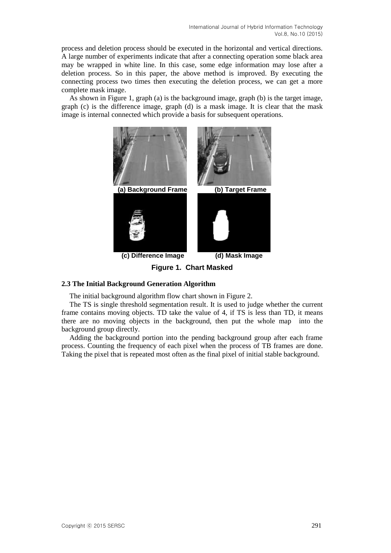process and deletion process should be executed in the horizontal and vertical directions. A large number of experiments indicate that after a connecting operation some black area may be wrapped in white line. In this case, some edge information may lose after a deletion process. So in this paper, the above method is improved. By executing the connecting process two times then executing the deletion process, we can get a more complete mask image.

As shown in Figure 1, graph (a) is the background image, graph (b) is the target image, graph (c) is the difference image, graph (d) is a mask image. It is clear that the mask image is internal connected which provide a basis for subsequent operations.



**Figure 1. Chart Masked**

### **2.3 The Initial Background Generation Algorithm**

The initial background algorithm flow chart shown in Figure 2.

The TS is single threshold segmentation result. It is used to judge whether the current frame contains moving objects. TD take the value of 4, if TS is less than TD, it means there are no moving objects in the background, then put the whole map into the background group directly.

Adding the background portion into the pending background group after each frame process. Counting the frequency of each pixel when the process of TB frames are done. Taking the pixel that is repeated most often as the final pixel of initial stable background.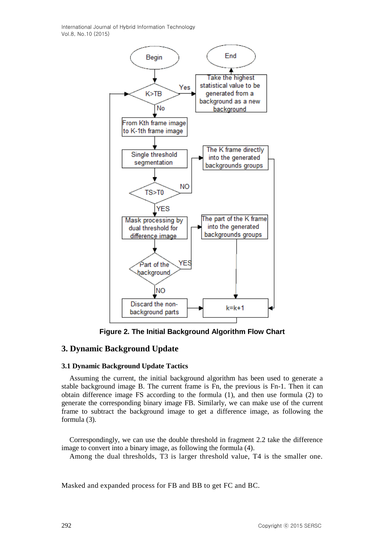International Journal of Hybrid Information Technology Vol.8, No.10 (2015)



**Figure 2. The Initial Background Algorithm Flow Chart**

# **3. Dynamic Background Update**

### **3.1 Dynamic Background Update Tactics**

Assuming the current, the initial background algorithm has been used to generate a stable background image B. The current frame is Fn, the previous is Fn-1. Then it can obtain difference image FS according to the formula (1), and then use formula (2) to generate the corresponding binary image FB. Similarly, we can make use of the current frame to subtract the background image to get a difference image, as following the formula (3). **(A)**<br>
(**A)**<br>
(**A)**<br>
(**A)**<br>
(**A)**<br>
(**A)**<br>
(**A)**<br>
(**A)**<br>
(**A)**<br>
(**A)**<br>
(**A)**<br>
(**A)**<br>
(**A)**<br>
(**A)**<br>
(**A)**<br>
(**A)**<br>
(**A)**<br>
(**A)**<br>
(**A)**<br>
(**A)**<br>
(**A)** and then us fr-1. Then it can<br>
(*C*) to facure that frame is Fn, the periods

Correspondingly, we can use the double threshold in fragment 2.2 take the difference image to convert into a binary image, as following the formula (4). as following the<br>ke the difference<br>the smaller one.<br>right © 2015 SERSC round image to get a difference image, as following the<br>
suse the double threshold in fragment 2.2 take the difference<br> *R* image, as following the formula (4).<br>
Ids, T3 is larger threshold value, T4 is the smaller one.<br>
e

Among the dual thresholds, T3 is larger threshold value, T4 is the smaller one.

Masked and expanded process for FB and BB to get FC and BC.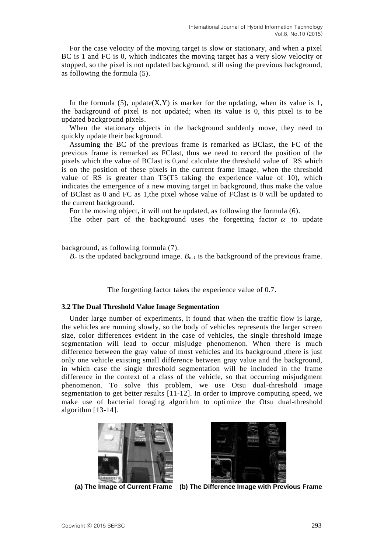For the case velocity of the moving target is slow or stationary, and when a pixel BC is 1 and FC is 0, which indicates the moving target has a very slow velocity or stopped, so the pixel is not updated background, still using the previous background, as following the formula (5).

In the formula (5), update(X,Y) is marker for the updating, when its value is 1, the background of pixel is not updated; when its value is 0, this pixel is to be updated background pixels.

When the stationary objects in the background suddenly move, they need to quickly update their background.

Assuming the BC of the previous frame is remarked as BClast, the FC of the previous frame is remarked as FClast, thus we need to record the position of the pixels which the value of BClast is 0,and calculate the threshold value of RS which is on the position of these pixels in the current frame image, when the threshold value of RS is greater than T5(T5 taking the experience value of 10), which indicates the emergence of a new moving target in background, thus make the value of BClast as 0 and FC as 1,the pixel whose value of FClast is 0 will be updated to the current background. manatona Journal or world model world (*yol. 8*). No.10 (2016)<br>
the moving target is slow or stationary, and when a pixel<br>
th indicates the moving target has a very slow velocity or<br>
5).<br> **Idde(X,Y)** is marker for the upd

For the moving object, it will not be updated, as following the formula (6).

The other part of the background uses the forgetting factor  $\alpha$  to update

background, as following formula (7).

 $B_n$  is the updated background image.  $B_{n-1}$  is the background of the previous frame.

The forgetting factor takes the experience value of 0.7.

#### **3.2 The Dual Threshold Value Image Segmentation**

Under large number of experiments, it found that when the traffic flow is large, the vehicles are running slowly, so the body of vehicles represents the larger screen size, color differences evident in the case of vehicles, the single threshold image segmentation will lead to occur misjudge phenomenon. When there is much difference between the gray value of most vehicles and its background ,there is just only one vehicle existing small difference between gray value and the background, in which case the single threshold segmentation will be included in the frame difference in the context of a class of the vehicle, so that occurring misjudgment phenomenon. To solve this problem, we use Otsu dual-threshold image segmentation to get better results [11-12]. In order to improve computing speed, we make use of bacterial foraging algorithm to optimize the Otsu dual-threshold algorithm [13-14]. **EXEREM** the circuit Traine image, when the threshold<br>
T TS(TS taking the experience value of 10), which the value of 10), which the value of the value of the value of PClast is 0 will be updated to epixel whose value of *B* a crass of the ventitive to this problem, we esuits [11-12]. In order aging algorithm to 

į.





 **(a) The Image of Current Frame (b) The Difference Image with Previous Frame**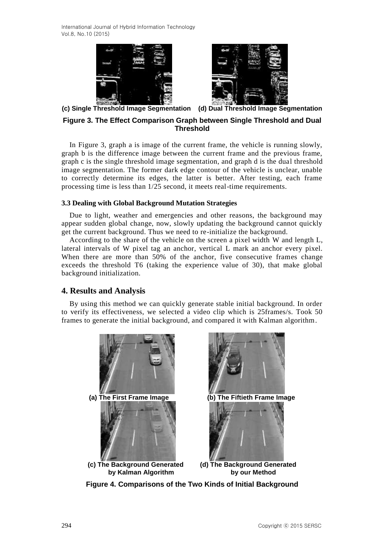International Journal of Hybrid Information Technology Vol.8, No.10 (2015)





**(c) Single Threshold Image Segmentation (d) Dual Threshold Image Segmentation**

## **Figure 3. The Effect Comparison Graph between Single Threshold and Dual Threshold**

In Figure 3, graph a is image of the current frame, the vehicle is running slowly, graph b is the difference image between the current frame and the previous frame, graph c is the single threshold image segmentation, and graph d is the dual threshold image segmentation. The former dark edge contour of the vehicle is unclear, unable to correctly determine its edges, the latter is better. After testing, each frame processing time is less than 1/25 second, it meets real-time requirements.

### **3.3 Dealing with Global Background Mutation Strategies**

Due to light, weather and emergencies and other reasons, the background may appear sudden global change, now, slowly updating the background cannot quickly get the current background. Thus we need to re-initialize the background.

According to the share of the vehicle on the screen a pixel width W and length L, lateral intervals of W pixel tag an anchor, vertical L mark an anchor every pixel. When there are more than 50% of the anchor, five consecutive frames change exceeds the threshold T6 (taking the experience value of 30), that make global background initialization.

### **4. Results and Analysis**

By using this method we can quickly generate stable initial background. In order to verify its effectiveness, we selected a video clip which is 25frames/s. Took 50 frames to generate the initial background, and compared it with Kalman algorithm.



**Figure 4. Comparisons of the Two Kinds of Initial Background**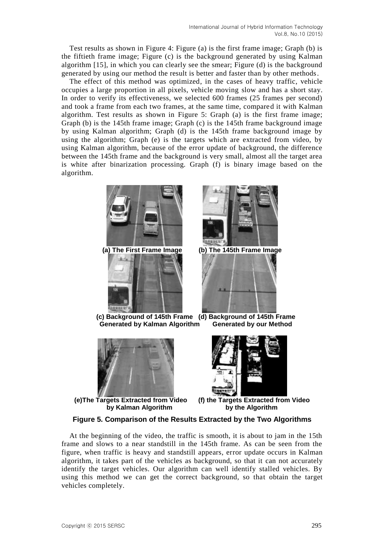Test results as shown in Figure 4: Figure (a) is the first frame image; Graph (b) is the fiftieth frame image; Figure (c) is the background generated by using Kalman algorithm [15], in which you can clearly see the smear; Figure (d) is the background generated by using our method the result is better and faster than by other methods.

The effect of this method was optimized, in the cases of heavy traffic, vehicle occupies a large proportion in all pixels, vehicle moving slow and has a short stay. In order to verify its effectiveness, we selected 600 frames (25 frames per second) and took a frame from each two frames, at the same time, compared it with Kalman algorithm. Test results as shown in Figure 5: Graph (a) is the first frame image; Graph (b) is the 145th frame image; Graph (c) is the 145th frame background image by using Kalman algorithm; Graph (d) is the 145th frame background image by using the algorithm; Graph (e) is the targets which are extracted from video, by using Kalman algorithm, because of the error update of background, the difference between the 145th frame and the background is very small, almost all the target area is white after binarization processing. Graph (f) is binary image based on the algorithm.





**(c) Background of 145th Frame (d) Background of 145th Frame Generated by Kalman Algorithm Generated by our Method**



**(e)The Targets Extracted from Video (f) the Targets Extracted from Video by Kalman Algorithm by the Algorithm**



# **Figure 5. Comparison of the Results Extracted by the Two Algorithms**

At the beginning of the video, the traffic is smooth, it is about to jam in the 15th frame and slows to a near standstill in the 145th frame. As can be seen from the figure, when traffic is heavy and standstill appears, error update occurs in Kalman algorithm, it takes part of the vehicles as background, so that it can not accurately identify the target vehicles. Our algorithm can well identify stalled vehicles. By using this method we can get the correct background, so that obtain the target vehicles completely.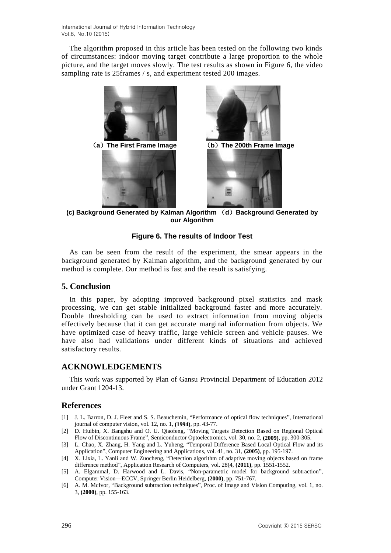The algorithm proposed in this article has been tested on the following two kinds of circumstances: indoor moving target contribute a large proportion to the whole picture, and the target moves slowly. The test results as shown in Figure 6, the video sampling rate is 25frames / s, and experiment tested 200 images.







**(c) Background Generated by Kalman Algorithm** (**d**)**Background Generated by our Algorithm**

# **Figure 6. The results of Indoor Test**

As can be seen from the result of the experiment, the smear appears in the background generated by Kalman algorithm, and the background generated by our method is complete. Our method is fast and the result is satisfying.

# **5. Conclusion**

In this paper, by adopting improved background pixel statistics and mask processing, we can get stable initialized background faster and more accurately. Double thresholding can be used to extract information from moving objects effectively because that it can get accurate marginal information from objects. We have optimized case of heavy traffic, large vehicle screen and vehicle pauses. We have also had validations under different kinds of situations and achieved satisfactory results.

# **ACKNOWLEDGEMENTS**

This work was supported by Plan of Gansu Provincial Department of Education 2012 under Grant 1204-13.

# **References**

- [1] J. L. Barron, D. J. Fleet and S. S. Beauchemin, "Performance of optical flow techniques", International journal of computer vision, vol. 12, no. 1, **(1994)**, pp. 43-77.
- [2] D. Huibin, X. Bangshu and O. U. Qiaofeng, "Moving Targets Detection Based on Regional Optical Flow of Discontinuous Frame", Semiconductor Optoelectronics, vol. 30, no. 2, **(2009)**, pp. 300-305.
- [3] L. Chao, X. Zhang, H. Yang and L. Yuheng, "Temporal Difference Based Local Optical Flow and its Application", Computer Engineering and Applications, vol. 41, no. 31, **(2005)**, pp. 195-197.
- [4] X. Lixia, L. Yanli and W. Zuocheng, "Detection algorithm of adaptive moving objects based on frame difference method", Application Research of Computers, vol. 28(4, **(2011)**, pp. 1551-1552.
- [5] A. Elgammal, D. Harwood and L. Davis, "Non-parametric model for background subtraction", Computer Vision—ECCV, Springer Berlin Heidelberg, **(2000)**, pp. 751-767.
- [6] A. M. McIvor, "Background subtraction techniques", Proc. of Image and Vision Computing, vol. 1, no. 3, **(2000)**, pp. 155-163.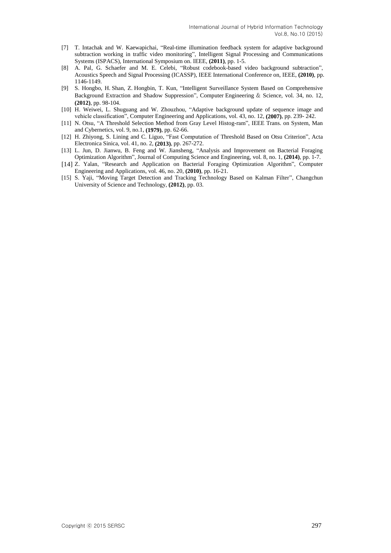- [7] T. Intachak and W. Kaewapichai, "Real-time illumination feedback system for adaptive background subtraction working in traffic video monitoring", Intelligent Signal Processing and Communications Systems (ISPACS), International Symposium on. IEEE, **(2011)**, pp. 1-5.
- [8] A. Pal, G. Schaefer and M. E. Celebi, "Robust codebook-based video background subtraction", Acoustics Speech and Signal Processing (ICASSP), IEEE International Conference on, IEEE, **(2010)**, pp. 1146-1149.
- [9] S. Hongbo, H. Shan, Z. Hongbin, T. Kun, "Intelligent Surveillance System Based on Comprehensive Background Extraction and Shadow Suppression", Computer Engineering & Science, vol. 34, no. 12, **(2012)**, pp. 98-104.
- [10] H. Weiwei, L. Shuguang and W. Zhouzhou, "Adaptive background update of sequence image and vehicle classification", Computer Engineering and Applications, vol. 43, no. 12, **(2007)**, pp. 239- 242.
- [11] N. Otsu, "A Threshold Selection Method from Gray Level Histog-ram", IEEE Trans. on System, Man and Cybernetics, vol. 9, no.1, **(1979)**, pp. 62-66.
- [12] H. Zhiyong, S. Lining and C. Liguo, "Fast Computation of Threshold Based on Otsu Criterion", Acta Electronica Sinica, vol. 41, no. 2, **(2013)**, pp. 267-272.
- [13] L. Jun, D. Jianwu, B. Feng and W. Jiansheng, "Analysis and Improvement on Bacterial Foraging Optimization Algorithm", Journal of Computing Science and Engineering, vol. 8, no. 1, **(2014)**, pp. 1-7.
- [14] Z. Yalan, "Research and Application on Bacterial Foraging Optimization Algorithm", Computer Engineering and Applications, vol. 46, no. 20, **(2010)**, pp. 16-21.
- [15] S. Yaji, "Moving Target Detection and Tracking Technology Based on Kalman Filter", Changchun University of Science and Technology, **(2012)**, pp. 03.